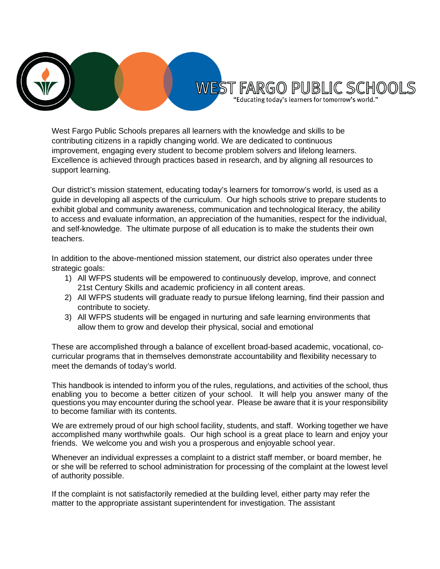

West Fargo Public Schools prepares all learners with the knowledge and skills to be contributing citizens in a rapidly changing world. We are dedicated to continuous improvement, engaging every student to become problem solvers and lifelong learners. Excellence is achieved through practices based in research, and by aligning all resources to support learning.

Our district's mission statement, educating today's learners for tomorrow's world, is used as a guide in developing all aspects of the curriculum. Our high schools strive to prepare students to exhibit global and community awareness, communication and technological literacy, the ability to access and evaluate information, an appreciation of the humanities, respect for the individual, and self-knowledge. The ultimate purpose of all education is to make the students their own teachers.

In addition to the above-mentioned mission statement, our district also operates under three strategic goals:

- 1) All WFPS students will be empowered to continuously develop, improve, and connect 21st Century Skills and academic proficiency in all content areas.
- 2) All WFPS students will graduate ready to pursue lifelong learning, find their passion and contribute to society.
- 3) All WFPS students will be engaged in nurturing and safe learning environments that allow them to grow and develop their physical, social and emotional

These are accomplished through a balance of excellent broad-based academic, vocational, cocurricular programs that in themselves demonstrate accountability and flexibility necessary to meet the demands of today's world.

This handbook is intended to inform you of the rules, regulations, and activities of the school, thus enabling you to become a better citizen of your school. It will help you answer many of the questions you may encounter during the school year. Please be aware that it is your responsibility to become familiar with its contents.

We are extremely proud of our high school facility, students, and staff. Working together we have accomplished many worthwhile goals. Our high school is a great place to learn and enjoy your friends. We welcome you and wish you a prosperous and enjoyable school year.

Whenever an individual expresses a complaint to a district staff member, or board member, he or she will be referred to school administration for processing of the complaint at the lowest level of authority possible.

If the complaint is not satisfactorily remedied at the building level, either party may refer the matter to the appropriate assistant superintendent for investigation. The assistant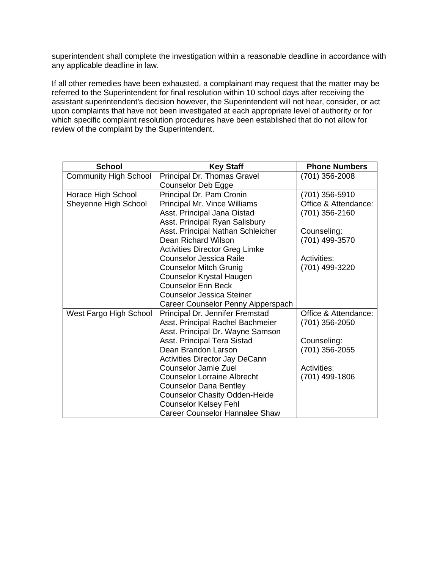superintendent shall complete the investigation within a reasonable deadline in accordance with any applicable deadline in law.

If all other remedies have been exhausted, a complainant may request that the matter may be referred to the Superintendent for final resolution within 10 school days after receiving the assistant superintendent's decision however, the Superintendent will not hear, consider, or act upon complaints that have not been investigated at each appropriate level of authority or for which specific complaint resolution procedures have been established that do not allow for review of the complaint by the Superintendent.

| <b>School</b>                | <b>Key Staff</b>                      | <b>Phone Numbers</b> |
|------------------------------|---------------------------------------|----------------------|
| <b>Community High School</b> | Principal Dr. Thomas Gravel           | (701) 356-2008       |
|                              | Counselor Deb Egge                    |                      |
| Horace High School           | Principal Dr. Pam Cronin              | (701) 356-5910       |
| Sheyenne High School         | Principal Mr. Vince Williams          | Office & Attendance: |
|                              | Asst. Principal Jana Oistad           | (701) 356-2160       |
|                              | Asst. Principal Ryan Salisbury        |                      |
|                              | Asst. Principal Nathan Schleicher     | Counseling:          |
|                              | Dean Richard Wilson                   | (701) 499-3570       |
|                              | <b>Activities Director Greg Limke</b> |                      |
|                              | Counselor Jessica Raile               | <b>Activities:</b>   |
|                              | <b>Counselor Mitch Grunig</b>         | (701) 499-3220       |
|                              | Counselor Krystal Haugen              |                      |
|                              | <b>Counselor Erin Beck</b>            |                      |
|                              | <b>Counselor Jessica Steiner</b>      |                      |
|                              | Career Counselor Penny Aipperspach    |                      |
| West Fargo High School       | Principal Dr. Jennifer Fremstad       | Office & Attendance: |
|                              | Asst. Principal Rachel Bachmeier      | (701) 356-2050       |
|                              | Asst. Principal Dr. Wayne Samson      |                      |
|                              | Asst. Principal Tera Sistad           | Counseling:          |
|                              | Dean Brandon Larson                   | (701) 356-2055       |
|                              | Activities Director Jay DeCann        |                      |
|                              | Counselor Jamie Zuel                  | Activities:          |
|                              | <b>Counselor Lorraine Albrecht</b>    | (701) 499-1806       |
|                              | <b>Counselor Dana Bentley</b>         |                      |
|                              | <b>Counselor Chasity Odden-Heide</b>  |                      |
|                              | <b>Counselor Kelsey Fehl</b>          |                      |
|                              | Career Counselor Hannalee Shaw        |                      |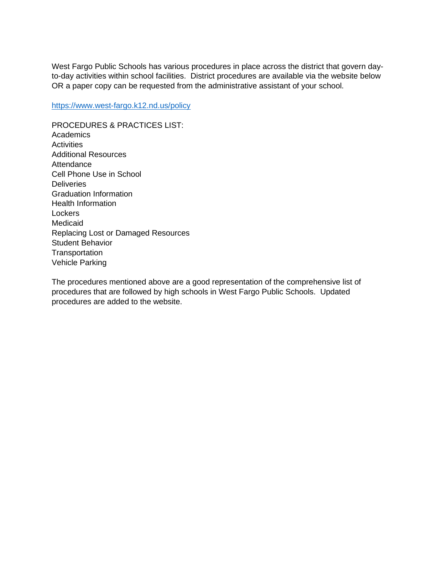West Fargo Public Schools has various procedures in place across the district that govern dayto-day activities within school facilities. District procedures are available via the website below OR a paper copy can be requested from the administrative assistant of your school.

<https://www.west-fargo.k12.nd.us/policy>

PROCEDURES & PRACTICES LIST: **Academics Activities** Additional Resources **Attendance** Cell Phone Use in School **Deliveries** Graduation Information Health Information **Lockers** Medicaid Replacing Lost or Damaged Resources Student Behavior **Transportation** Vehicle Parking

The procedures mentioned above are a good representation of the comprehensive list of procedures that are followed by high schools in West Fargo Public Schools. Updated procedures are added to the website.